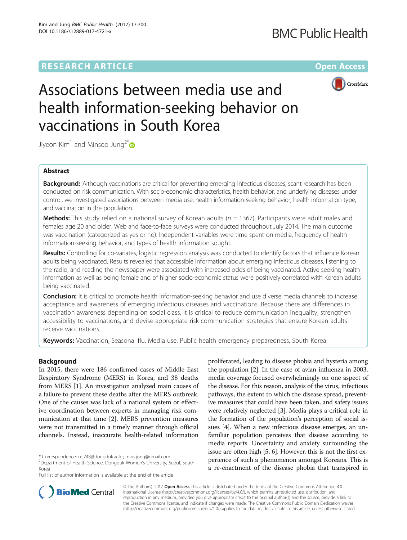## **RESEARCH ARTICLE External Structure Community Community Community Community Community Community Community Community**

## **BMC Public Health**



# Associations between media use and health information-seeking behavior on vaccinations in South Korea

Jiyeon Kim<sup>1</sup> and Minsoo Jung<sup>2\*</sup>

## Abstract

**Background:** Although vaccinations are critical for preventing emerging infectious diseases, scant research has been conducted on risk communication. With socio-economic characteristics, health behavior, and underlying diseases under control, we investigated associations between media use, health information-seeking behavior, health information type, and vaccination in the population.

**Methods:** This study relied on a national survey of Korean adults ( $n = 1367$ ). Participants were adult males and females age 20 and older. Web and face-to-face surveys were conducted throughout July 2014. The main outcome was vaccination (categorized as yes or no). Independent variables were time spent on media, frequency of health information-seeking behavior, and types of health information sought.

Results: Controlling for co-variates, logistic regression analysis was conducted to identify factors that influence Korean adults being vaccinated. Results revealed that accessible information about emerging infectious diseases, listening to the radio, and reading the newspaper were associated with increased odds of being vaccinated. Active seeking health information as well as being female and of higher socio-economic status were positively correlated with Korean adults being vaccinated.

**Conclusion:** It is critical to promote health information-seeking behavior and use diverse media channels to increase acceptance and awareness of emerging infectious diseases and vaccinations. Because there are differences in vaccination awareness depending on social class, it is critical to reduce communication inequality, strengthen accessibility to vaccinations, and devise appropriate risk communication strategies that ensure Korean adults receive vaccinations.

Keywords: Vaccination, Seasonal flu, Media use, Public health emergency preparedness, South Korea

## Background

In 2015, there were 186 confirmed cases of Middle East Respiratory Syndrome (MERS) in Korea, and 38 deaths from MERS [\[1\]](#page-7-0). An investigation analyzed main causes of a failure to prevent these deaths after the MERS outbreak. One of the causes was lack of a national system or effective coordination between experts in managing risk communication at that time [[2](#page-7-0)]. MERS prevention measures were not transmitted in a timely manner through official channels. Instead, inaccurate health-related information

\* Correspondence: [mj748@dongduk.ac.kr](mailto:mj748@dongduk.ac.kr); [mins.jung@gmail.com](mailto:mins.jung@gmail.com) <sup>2</sup>

Department of Health Science, Dongduk Women's University, Seoul, South Korea

Full list of author information is available at the end of the article

proliferated, leading to disease phobia and hysteria among the population [\[2](#page-7-0)]. In the case of avian influenza in 2003, media coverage focused overwhelmingly on one aspect of the disease. For this reason, analysis of the virus, infectious pathways, the extent to which the disease spread, preventive measures that could have been taken, and safety issues were relatively neglected [[3\]](#page-7-0). Media plays a critical role in the formation of the population's perception of social issues [\[4](#page-7-0)]. When a new infectious disease emerges, an unfamiliar population perceives that disease according to media reports. Uncertainty and anxiety surrounding the issue are often high [\[5](#page-7-0), [6\]](#page-7-0). However, this is not the first experience of such a phenomenon amongst Koreans. This is a re-enactment of the disease phobia that transpired in



© The Author(s). 2017 Open Access This article is distributed under the terms of the Creative Commons Attribution 4.0 International License [\(http://creativecommons.org/licenses/by/4.0/](http://creativecommons.org/licenses/by/4.0/)), which permits unrestricted use, distribution, and reproduction in any medium, provided you give appropriate credit to the original author(s) and the source, provide a link to the Creative Commons license, and indicate if changes were made. The Creative Commons Public Domain Dedication waiver [\(http://creativecommons.org/publicdomain/zero/1.0/](http://creativecommons.org/publicdomain/zero/1.0/)) applies to the data made available in this article, unless otherwise stated.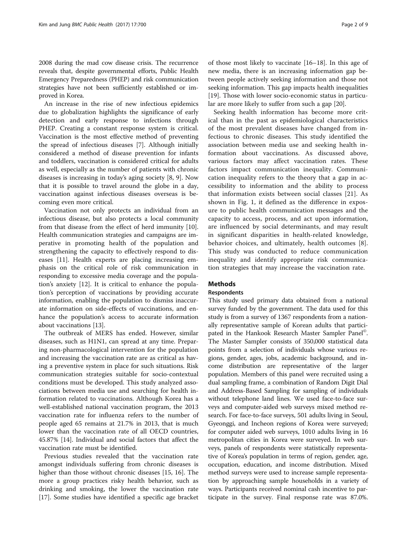2008 during the mad cow disease crisis. The recurrence reveals that, despite governmental efforts, Public Health Emergency Preparedness (PHEP) and risk communication strategies have not been sufficiently established or improved in Korea.

An increase in the rise of new infectious epidemics due to globalization highlights the significance of early detection and early response to infections through PHEP. Creating a constant response system is critical. Vaccination is the most effective method of preventing the spread of infectious diseases [[7](#page-7-0)]. Although initially considered a method of disease prevention for infants and toddlers, vaccination is considered critical for adults as well, especially as the number of patients with chronic diseases is increasing in today's aging society [\[8](#page-7-0), [9\]](#page-7-0). Now that it is possible to travel around the globe in a day, vaccination against infectious diseases overseas is becoming even more critical.

Vaccination not only protects an individual from an infectious disease, but also protects a local community from that disease from the effect of herd immunity [\[10](#page-7-0)]. Health communication strategies and campaigns are imperative in promoting health of the population and strengthening the capacity to effectively respond to diseases [\[11](#page-7-0)]. Health experts are placing increasing emphasis on the critical role of risk communication in responding to excessive media coverage and the population's anxiety [[12\]](#page-7-0). It is critical to enhance the population's perception of vaccinations by providing accurate information, enabling the population to dismiss inaccurate information on side-effects of vaccinations, and enhance the population's access to accurate information about vaccinations [[13\]](#page-7-0).

The outbreak of MERS has ended. However, similar diseases, such as H1N1, can spread at any time. Preparing non-pharmacological intervention for the population and increasing the vaccination rate are as critical as having a preventive system in place for such situations. Risk communication strategies suitable for socio-contextual conditions must be developed. This study analyzed associations between media use and searching for health information related to vaccinations. Although Korea has a well-established national vaccination program, the 2013 vaccination rate for influenza refers to the number of people aged 65 remains at 21.7% in 2013, that is much lower than the vaccination rate of all OECD countries, 45.87% [\[14\]](#page-7-0). Individual and social factors that affect the vaccination rate must be identified.

Previous studies revealed that the vaccination rate amongst individuals suffering from chronic diseases is higher than those without chronic diseases [[15](#page-8-0), [16\]](#page-8-0). The more a group practices risky health behavior, such as drinking and smoking, the lower the vaccination rate [[17\]](#page-8-0). Some studies have identified a specific age bracket

of those most likely to vaccinate [[16](#page-8-0)–[18](#page-8-0)]. In this age of new media, there is an increasing information gap between people actively seeking information and those not seeking information. This gap impacts health inequalities [[19\]](#page-8-0). Those with lower socio-economic status in particular are more likely to suffer from such a gap [[20\]](#page-8-0).

Seeking health information has become more critical than in the past as epidemiological characteristics of the most prevalent diseases have changed from infectious to chronic diseases. This study identified the association between media use and seeking health information about vaccinations. As discussed above, various factors may affect vaccination rates. These factors impact communication inequality. Communication inequality refers to the theory that a gap in accessibility to information and the ability to process that information exists between social classes [[21\]](#page-8-0). As shown in Fig. [1](#page-2-0), it defined as the difference in exposure to public health communication messages and the capacity to access, process, and act upon information, are influenced by social determinants, and may result in significant disparities in health-related knowledge, behavior choices, and ultimately, health outcomes [\[8](#page-7-0)]. This study was conducted to reduce communication inequality and identify appropriate risk communication strategies that may increase the vaccination rate.

## Methods

#### Respondents

This study used primary data obtained from a national survey funded by the government. The data used for this study is from a survey of 1367 respondents from a nationally representative sample of Korean adults that participated in the Hankook Research Master Sampler Panel<sup>®</sup>. The Master Sampler consists of 350,000 statistical data points from a selection of individuals whose various regions, gender, ages, jobs, academic background, and income distribution are representative of the larger population. Members of this panel were recruited using a dual sampling frame, a combination of Random Digit Dial and Address-Based Sampling for sampling of individuals without telephone land lines. We used face-to-face surveys and computer-aided web surveys mixed method research. For face-to-face surveys, 501 adults living in Seoul, Gyeonggi, and Incheon regions of Korea were surveyed; for computer aided web surveys, 1010 adults living in 16 metropolitan cities in Korea were surveyed. In web surveys, panels of respondents were statistically representative of Korea's population in terms of region, gender, age, occupation, education, and income distribution. Mixed method surveys were used to increase sample representation by approaching sample households in a variety of ways. Participants received nominal cash incentive to participate in the survey. Final response rate was 87.0%.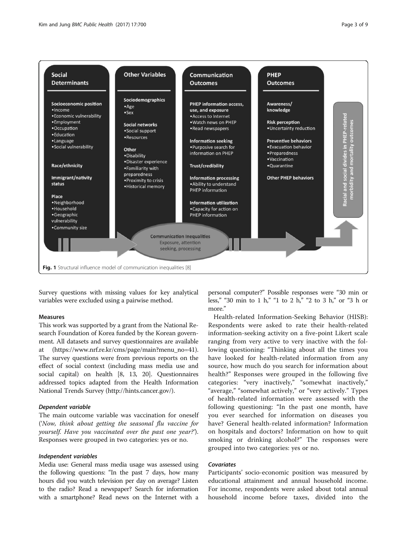<span id="page-2-0"></span>

Survey questions with missing values for key analytical variables were excluded using a pairwise method.

#### Measures

This work was supported by a grant from the National Research Foundation of Korea funded by the Korean government. All datasets and survey questionnaires are available at ([https://www.nrf.re.kr/cms/page/main?menu\\_no=41](https://www.nrf.re.kr/cms/page/main?menu_no=41)). The survey questions were from previous reports on the effect of social context (including mass media use and social capital) on health [\[8, 13,](#page-7-0) [20\]](#page-8-0). Questionnaires addressed topics adapted from the Health Information National Trends Survey ([http://hints.cancer.gov/\)](http://hints.cancer.gov/).

#### Dependent variable

The main outcome variable was vaccination for oneself ('Now, think about getting the seasonal flu vaccine for yourself. Have you vaccinated over the past one year?'). Responses were grouped in two categories: yes or no.

#### Independent variables

Media use: General mass media usage was assessed using the following questions: "In the past 7 days, how many hours did you watch television per day on average? Listen to the radio? Read a newspaper? Search for information with a smartphone? Read news on the Internet with a

personal computer?" Possible responses were "30 min or less," "30 min to 1 h," "1 to 2 h," "2 to 3 h," or "3 h or more."

Health-related Information-Seeking Behavior (HISB): Respondents were asked to rate their health-related information-seeking activity on a five-point Likert scale ranging from very active to very inactive with the following questioning: "Thinking about all the times you have looked for health-related information from any source, how much do you search for information about health?" Responses were grouped in the following five categories: "very inactively," "somewhat inactively," "average," "somewhat actively," or "very actively." Types of health-related information were assessed with the following questioning: "In the past one month, have you ever searched for information on diseases you have? General health-related information? Information on hospitals and doctors? Information on how to quit smoking or drinking alcohol?" The responses were grouped into two categories: yes or no.

## **Covariates**

Participants' socio-economic position was measured by educational attainment and annual household income. For income, respondents were asked about total annual household income before taxes, divided into the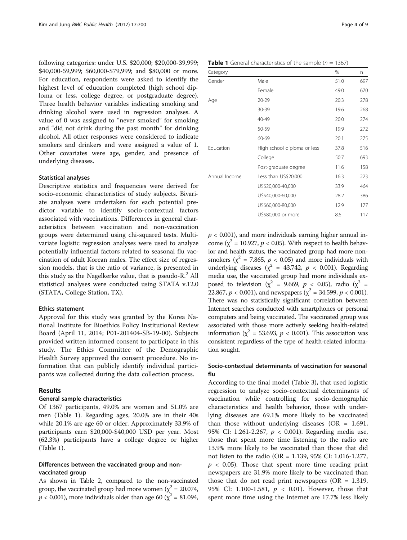following categories: under U.S. \$20,000; \$20,000-39,999; \$40,000-59,999; \$60,000-\$79,999; and \$80,000 or more. For education, respondents were asked to identify the highest level of education completed (high school diploma or less, college degree, or postgraduate degree). Three health behavior variables indicating smoking and drinking alcohol were used in regression analyses. A value of 0 was assigned to "never smoked" for smoking and "did not drink during the past month" for drinking alcohol. All other responses were considered to indicate smokers and drinkers and were assigned a value of 1. Other covariates were age, gender, and presence of underlying diseases.

#### Statistical analyses

Descriptive statistics and frequencies were derived for socio-economic characteristics of study subjects. Bivariate analyses were undertaken for each potential predictor variable to identify socio-contextual factors associated with vaccinations. Differences in general characteristics between vaccination and non-vaccination groups were determined using chi-squared tests. Multivariate logistic regression analyses were used to analyze potentially influential factors related to seasonal flu vaccination of adult Korean males. The effect size of regression models, that is the ratio of variance, is presented in this study as the Nagelkerke value, that is pseudo- $R^2$ . All statistical analyses were conducted using STATA v.12.0 (STATA, College Station, TX).

## Ethics statement

Approval for this study was granted by the Korea National Institute for Bioethics Policy Institutional Review Board (April 11, 2014; P01-201404-SB-19-00). Subjects provided written informed consent to participate in this study. The Ethics Committee of the Demographic Health Survey approved the consent procedure. No information that can publicly identify individual participants was collected during the data collection process.

#### Results

#### General sample characteristics

Of 1367 participants, 49.0% are women and 51.0% are men (Table 1). Regarding ages, 20.0% are in their 40s while 20.1% are age 60 or older. Approximately 33.9% of participants earn \$20,000-\$40,000 USD per year. Most (62.3%) participants have a college degree or higher (Table 1).

## Differences between the vaccinated group and nonvaccinated group

As shown in Table [2,](#page-4-0) compared to the non-vaccinated group, the vaccinated group had more women ( $\chi^2$  = 20.074,  $p < 0.001$ ), more individuals older than age 60 ( $\chi^2 = 81.094$ ,

**Table 1** General characteristics of the sample ( $n = 1367$ )

| Category      |                             | %    | n   |
|---------------|-----------------------------|------|-----|
| Gender        | Male                        | 51.0 | 697 |
|               | Female                      | 49.0 | 670 |
| Age           | $20 - 29$                   | 20.3 | 278 |
|               | $30 - 39$                   | 19.6 | 268 |
|               | 40-49                       | 20.0 | 274 |
|               | 50-59                       | 19.9 | 272 |
|               | 60-69                       | 20.1 | 275 |
| Education     | High school diploma or less | 37.8 | 516 |
|               | College                     | 50.7 | 693 |
|               | Post-graduate degree        | 11.6 | 158 |
| Annual Income | Less than US\$20,000        | 16.3 | 223 |
|               | US\$20,000-40,000           | 33.9 | 464 |
|               | US\$40,000-60,000           | 28.2 | 386 |
|               | US\$60,000-80,000           | 12.9 | 177 |
|               | US\$80,000 or more          | 8.6  | 117 |
|               |                             |      |     |

 $p < 0.001$ ), and more individuals earning higher annual income ( $\chi^2$  = 10.927, p < 0.05). With respect to health behavior and health status, the vaccinated group had more nonsmokers ( $\chi^2$  = 7.865,  $p < 0.05$ ) and more individuals with underlying diseases ( $\chi^2$  = 43.742,  $p$  < 0.001). Regarding media use, the vaccinated group had more individuals exposed to television ( $\chi^2$  = 9.669,  $p$  < 0.05), radio ( $\chi^2$  = 22.867,  $p < 0.001$ ), and newspapers ( $\chi^2 = 34.599$ ,  $p < 0.001$ ). There was no statistically significant correlation between Internet searches conducted with smartphones or personal computers and being vaccinated. The vaccinated group was associated with those more actively seeking health-related information ( $\chi^2$  = 53.693,  $p < 0.001$ ). This association was consistent regardless of the type of health-related information sought.

## Socio-contextual determinants of vaccination for seasonal flu

According to the final model (Table [3](#page-6-0)), that used logistic regression to analyze socio-contextual determinants of vaccination while controlling for socio-demographic characteristics and health behavior, those with underlying diseases are 69.1% more likely to be vaccinated than those without underlying diseases ( $OR = 1.691$ , 95% CI: 1.261-2.267, p < 0.001). Regarding media use, those that spent more time listening to the radio are 13.9% more likely to be vaccinated than those that did not listen to the radio (OR = 1.139, 95% CI: 1.016-1.277,  $p$  < 0.05). Those that spent more time reading print newspapers are 31.9% more likely to be vaccinated than those that do not read print newspapers ( $OR = 1.319$ , 95% CI: 1.100-1.581,  $p < 0.01$ ). However, those that spent more time using the Internet are 17.7% less likely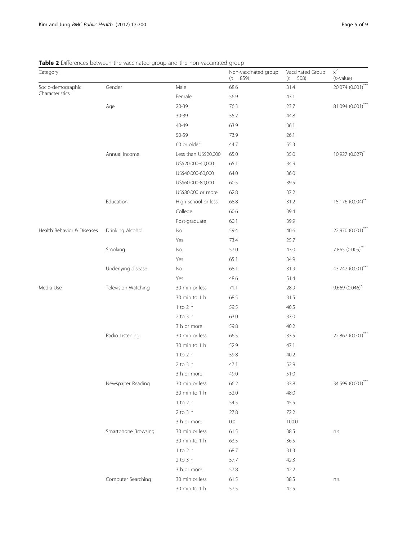#### <span id="page-4-0"></span>Table 2 Differences between the vaccinated group and the non-vaccinated group

| Category                   |                     |                      | Non-vaccinated group<br>$(n = 859)$ | Vaccinated Group<br>$(n = 508)$ | $\rm\,x^2$<br>$(p$ -value)    |
|----------------------------|---------------------|----------------------|-------------------------------------|---------------------------------|-------------------------------|
| Socio-demographic          | Gender              | Male                 | 68.6                                | 31.4                            | 20.074 (0.001) <sup>***</sup> |
| Characteristics            |                     | Female               | 56.9                                | 43.1                            |                               |
|                            | Age                 | $20 - 39$            | 76.3                                | 23.7                            | 81.094 (0.001) <sup>*</sup>   |
|                            |                     | 30-39                | 55.2                                | 44.8                            |                               |
|                            |                     | 40-49                | 63.9                                | 36.1                            |                               |
|                            |                     | 50-59                | 73.9                                | 26.1                            |                               |
|                            |                     | 60 or older          | 44.7                                | 55.3                            |                               |
|                            | Annual Income       | Less than US\$20,000 | 65.0                                | 35.0                            | 10.927 (0.027) <sup>*</sup>   |
|                            |                     | US\$20,000-40,000    | 65.1                                | 34.9                            |                               |
|                            |                     | US\$40,000-60,000    | 64.0                                | 36.0                            |                               |
|                            |                     | US\$60,000-80,000    | 60.5                                | 39.5                            |                               |
|                            |                     | US\$80,000 or more   | 62.8                                | 37.2                            |                               |
|                            | Education           | High school or less  | 68.8                                | 31.2                            | 15.176 (0.004) <sup>**</sup>  |
|                            |                     | College              | 60.6                                | 39.4                            |                               |
|                            |                     | Post-graduate        | 60.1                                | 39.9                            |                               |
| Health Behavior & Diseases | Drinking Alcohol    | No                   | 59.4                                | 40.6                            | 22.970 (0.001)***             |
|                            |                     | Yes                  | 73.4                                | 25.7                            |                               |
|                            | Smoking             | No                   | 57.0                                | 43.0                            | 7.865 (0.005)**               |
|                            |                     | Yes                  | 65.1                                | 34.9                            |                               |
|                            | Underlying disease  | No                   | 68.1                                | 31.9                            | 43.742 (0.001)                |
|                            |                     | Yes                  | 48.6                                | 51.4                            |                               |
| Media Use                  | Television Watching | 30 min or less       | 71.1                                | 28.9                            | $9.669(0.046)^{*}$            |
|                            |                     | 30 min to 1 h        | 68.5                                | 31.5                            |                               |
|                            |                     | $1$ to $2$ h         | 59.5                                | 40.5                            |                               |
|                            |                     | $2$ to $3$ h         | 63.0                                | 37.0                            |                               |
|                            |                     | 3 h or more          | 59.8                                | 40.2                            |                               |
|                            | Radio Listening     | 30 min or less       | 66.5                                | 33.5                            | 22.867 (0.001)*               |
|                            |                     | 30 min to 1 h        | 52.9                                | 47.1                            |                               |
|                            |                     | $1$ to $2$ h         | 59.8                                | 40.2                            |                               |
|                            |                     | $2$ to $3$ h         | 47.1                                | 52.9                            |                               |
|                            |                     | 3 h or more          | 49.0                                | 51.0                            |                               |
|                            | Newspaper Reading   | 30 min or less       | 66.2                                | 33.8                            | 34.599 (0.001)***             |
|                            |                     | 30 min to 1 h        | 52.0                                | 48.0                            |                               |
|                            |                     | $1$ to $2$ h         | 54.5                                | 45.5                            |                               |
|                            |                     | $2$ to $3$ h         | 27.8                                | 72.2                            |                               |
|                            |                     | 3 h or more          | 0.0                                 | 100.0                           |                               |
|                            | Smartphone Browsing | 30 min or less       | 61.5                                | 38.5                            | n.s.                          |
|                            |                     | 30 min to 1 h        | 63.5                                | 36.5                            |                               |
|                            |                     | $1$ to $2$ h         | 68.7                                | 31.3                            |                               |
|                            |                     | $2$ to $3$ h         | 57.7                                | 42.3                            |                               |
|                            |                     | 3 h or more          | 57.8                                | 42.2                            |                               |
|                            | Computer Searching  | 30 min or less       | 61.5                                | 38.5                            | n.s.                          |
|                            |                     | 30 min to 1 h        | 57.5                                | 42.5                            |                               |
|                            |                     |                      |                                     |                                 |                               |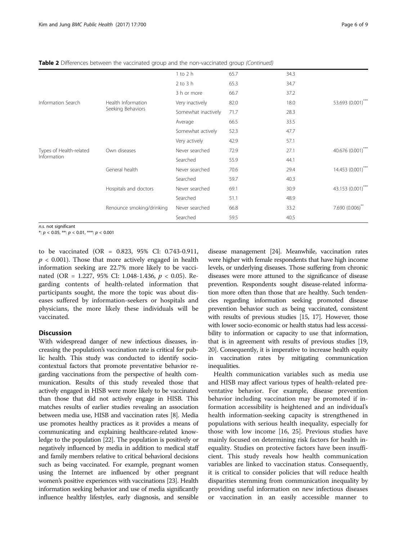|                                        |                                         | $1$ to $2$ h        | 65.7 | 34.3 |                              |
|----------------------------------------|-----------------------------------------|---------------------|------|------|------------------------------|
|                                        |                                         | $2$ to $3$ h        | 65.3 | 34.7 |                              |
|                                        |                                         | 3 h or more         | 66.7 | 37.2 |                              |
| Information Search                     | Health Information<br>Seeking Behaviors | Very inactively     | 82.0 | 18.0 | 53.693 (0.001)***            |
|                                        |                                         | Somewhat inactively | 71.7 | 28.3 |                              |
|                                        |                                         | Average             | 66.5 | 33.5 |                              |
|                                        |                                         | Somewhat actively   | 52.3 | 47.7 |                              |
|                                        |                                         | Very actively       | 42.9 | 57.1 |                              |
| Types of Health-related<br>Information | Own diseases                            | Never searched      | 72.9 | 27.1 | 40.676 (0.001)***            |
|                                        |                                         | Searched            | 55.9 | 44.1 |                              |
|                                        | General health                          | Never searched      | 70.6 | 29.4 | $14.453 (0.001)$ ***         |
|                                        |                                         | Searched            | 59.7 | 40.3 |                              |
|                                        | Hospitals and doctors                   | Never searched      | 69.1 | 30.9 | 43.153 (0.001)***            |
|                                        |                                         | Searched            | 51.1 | 48.9 |                              |
|                                        | Renounce smoking/drinking               | Never searched      | 66.8 | 33.2 | $7.690(0.006)$ <sup>**</sup> |
|                                        |                                         | Searched            | 59.5 | 40.5 |                              |
| $\sim$ $\sim$                          |                                         |                     |      |      |                              |

Table 2 Differences between the vaccinated group and the non-vaccinated group (Continued)

n.s. not significant

\*:  $p < 0.05$ , \*\*:  $p < 0.01$ , \*\*\*:  $p < 0.001$ 

to be vaccinated (OR = 0.823, 95% CI: 0.743-0.911,  $p < 0.001$ ). Those that more actively engaged in health information seeking are 22.7% more likely to be vaccinated (OR = 1.227, 95% CI: 1.048-1.436, p < 0.05). Regarding contents of health-related information that participants sought, the more the topic was about diseases suffered by information-seekers or hospitals and physicians, the more likely these individuals will be vaccinated.

## Discussion

With widespread danger of new infectious diseases, increasing the population's vaccination rate is critical for public health. This study was conducted to identify sociocontextual factors that promote preventative behavior regarding vaccinations from the perspective of health communication. Results of this study revealed those that actively engaged in HISB were more likely to be vaccinated than those that did not actively engage in HISB. This matches results of earlier studies revealing an association between media use, HISB and vaccination rates [[8](#page-7-0)]. Media use promotes healthy practices as it provides a means of communicating and explaining healthcare-related knowledge to the population [[22](#page-8-0)]. The population is positively or negatively influenced by media in addition to medical staff and family members relative to critical behavioral decisions such as being vaccinated. For example, pregnant women using the Internet are influenced by other pregnant women's positive experiences with vaccinations [\[23](#page-8-0)]. Health information seeking behavior and use of media significantly influence healthy lifestyles, early diagnosis, and sensible

disease management [\[24](#page-8-0)]. Meanwhile, vaccination rates were higher with female respondents that have high income levels, or underlying diseases. Those suffering from chronic diseases were more attuned to the significance of disease prevention. Respondents sought disease-related information more often than those that are healthy. Such tendencies regarding information seeking promoted disease prevention behavior such as being vaccinated, consistent with results of previous studies [\[15, 17\]](#page-8-0). However, those with lower socio-economic or health status had less accessibility to information or capacity to use that information, that is in agreement with results of previous studies [\[19](#page-8-0), [20](#page-8-0)]. Consequently, it is imperative to increase health equity in vaccination rates by mitigating communication inequalities.

Health communication variables such as media use and HISB may affect various types of health-related preventative behavior. For example, disease prevention behavior including vaccination may be promoted if information accessibility is heightened and an individual's health information-seeking capacity is strengthened in populations with serious health inequality, especially for those with low income [[16, 25](#page-8-0)]. Previous studies have mainly focused on determining risk factors for health inequality. Studies on protective factors have been insufficient. This study reveals how health communication variables are linked to vaccination status. Consequently, it is critical to consider policies that will reduce health disparities stemming from communication inequality by providing useful information on new infectious diseases or vaccination in an easily accessible manner to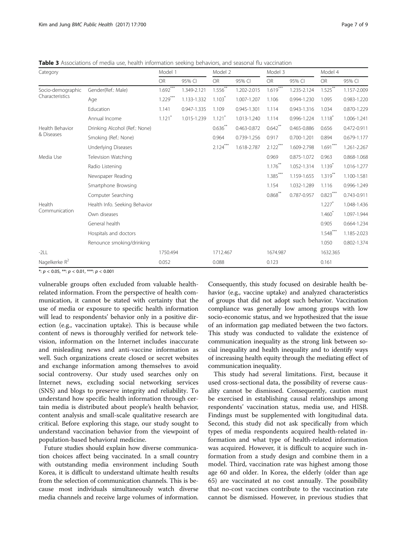<span id="page-6-0"></span>**Table 3** Associations of media use, health information seeking behaviors, and seasonal flu vaccination

| Category                             |                               | Model 1              |             | Model 2              |             | Model 3               |             | Model 4              |             |
|--------------------------------------|-------------------------------|----------------------|-------------|----------------------|-------------|-----------------------|-------------|----------------------|-------------|
|                                      |                               | <b>OR</b>            | 95% CI      | <b>OR</b>            | 95% CI      | <b>OR</b>             | 95% CI      | <b>OR</b>            | 95% CI      |
| Socio-demographic<br>Characteristics | Gender(Ref.: Male)            | $1.692***$           | 1.349-2.121 | $1.556***$           | 1.202-2.015 | $1.619***$            | 1.235-2.124 | $1.525***$           | 1.157-2.009 |
|                                      | Age                           | $1.229***$           | 1.133-1.332 | $1.103*$             | 1.007-1.207 | 1.106                 | 0.994-1.230 | 1.095                | 0.983-1.220 |
|                                      | Education                     | 1.141                | 0.947-1.335 | 1.109                | 0.945-1.301 | 1.114                 | 0.943-1.316 | 1.034                | 0.870-1.229 |
|                                      | Annual Income                 | $1.121$ <sup>*</sup> | 1.015-1.239 | $1.121$ <sup>*</sup> | 1.013-1.240 | 1.114                 | 0.996-1.224 | 1.118                | 1.006-1.241 |
| Health Behavior<br>& Diseases        | Drinking Alcohol (Ref.: None) |                      |             | $0.636$ **           | 0.463-0.872 | $0.642$ <sup>**</sup> | 0.465-0.886 | 0.656                | 0.472-0.911 |
|                                      | Smoking (Ref.: None)          |                      |             | 0.964                | 0.739-1.256 | 0.917                 | 0.700-1.201 | 0.894                | 0.679-1.177 |
|                                      | Underlying Diseases           |                      |             | $2.124***$           | 1.618-2.787 | $2.122***$            | 1.609-2.798 | $1.691***$           | 1.261-2.267 |
| Media Use                            | Television Watching           |                      |             |                      |             | 0.969                 | 0.875-1.072 | 0.963                | 0.868-1.068 |
|                                      | Radio Listening               |                      |             |                      |             | $1.176$ <sup>**</sup> | 1.052-1.314 | $1.139$ <sup>*</sup> | 1.016-1.277 |
|                                      | Newspaper Reading             |                      |             |                      |             | $1.385***$            | 1.159-1.655 | $1.319***$           | 1.100-1.581 |
|                                      | Smartphone Browsing           |                      |             |                      |             | 1.154                 | 1.032-1.289 | 1.116                | 0.996-1.249 |
|                                      | Computer Searching            |                      |             |                      |             | $0.868**$             | 0.787-0.957 | $0.823***$           | 0.743-0.911 |
| Health<br>Communication              | Health Info. Seeking Behavior |                      |             |                      |             |                       |             | $1.227$ *            | 1.048-1.436 |
|                                      | Own diseases                  |                      |             |                      |             |                       |             | $1.460^*$            | 1.097-1.944 |
|                                      | General health                |                      |             |                      |             |                       |             | 0.905                | 0.664-1.234 |
|                                      | Hospitals and doctors         |                      |             |                      |             |                       |             | $1.548***$           | 1.185-2.023 |
|                                      | Renounce smoking/drinking     |                      |             |                      |             |                       |             | 1.050                | 0.802-1.374 |
| $-2LL$                               |                               | 1750.494             |             | 1712.467             |             | 1674.987              |             | 1632.365             |             |
| Nagelkerke $R^2$                     |                               | 0.052                |             | 0.088                |             | 0.123                 |             | 0.161                |             |

\*:  $p < 0.05$ , \*\*:  $p < 0.01$ , \*\*\*:  $p < 0.001$ 

vulnerable groups often excluded from valuable healthrelated information. From the perspective of health communication, it cannot be stated with certainty that the use of media or exposure to specific health information will lead to respondents' behavior only in a positive direction (e.g., vaccination uptake). This is because while content of news is thoroughly verified for network television, information on the Internet includes inaccurate and misleading news and anti-vaccine information as well. Such organizations create closed or secret websites and exchange information among themselves to avoid social controversy. Our study used searches only on Internet news, excluding social networking services (SNS) and blogs to preserve integrity and reliability. To understand how specific health information through certain media is distributed about people's health behavior, content analysis and small-scale qualitative research are critical. Before exploring this stage, our study sought to understand vaccination behavior from the viewpoint of population-based behavioral medicine.

Future studies should explain how diverse communication choices affect being vaccinated. In a small country with outstanding media environment including South Korea, it is difficult to understand ultimate health results from the selection of communication channels. This is because most individuals simultaneously watch diverse media channels and receive large volumes of information.

Consequently, this study focused on desirable health behavior (e.g., vaccine uptake) and analyzed characteristics of groups that did not adopt such behavior. Vaccination compliance was generally low among groups with low socio-economic status, and we hypothesized that the issue of an information gap mediated between the two factors. This study was conducted to validate the existence of communication inequality as the strong link between social inequality and health inequality and to identify ways of increasing health equity through the mediating effect of communication inequality.

This study had several limitations. First, because it used cross-sectional data, the possibility of reverse causality cannot be dismissed. Consequently, caution must be exercised in establishing causal relationships among respondents' vaccination status, media use, and HISB. Findings must be supplemented with longitudinal data. Second, this study did not ask specifically from which types of media respondents acquired health-related information and what type of health-related information was acquired. However, it is difficult to acquire such information from a study design and combine them in a model. Third, vaccination rate was highest among those age 60 and older. In Korea, the elderly (older than age 65) are vaccinated at no cost annually. The possibility that no-cost vaccines contribute to the vaccination rate cannot be dismissed. However, in previous studies that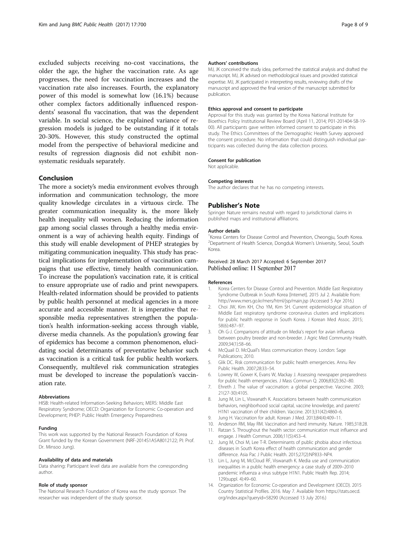<span id="page-7-0"></span>excluded subjects receiving no-cost vaccinations, the older the age, the higher the vaccination rate. As age progresses, the need for vaccination increases and the vaccination rate also increases. Fourth, the explanatory power of this model is somewhat low (16.1%) because other complex factors additionally influenced respondents' seasonal flu vaccination, that was the dependent variable. In social science, the explained variance of regression models is judged to be outstanding if it totals 20-30%. However, this study constructed the optimal model from the perspective of behavioral medicine and results of regression diagnosis did not exhibit nonsystematic residuals separately.

## Conclusion

The more a society's media environment evolves through information and communication technology, the more quality knowledge circulates in a virtuous circle. The greater communication inequality is, the more likely health inequality will worsen. Reducing the information gap among social classes through a healthy media environment is a way of achieving health equity. Findings of this study will enable development of PHEP strategies by mitigating communication inequality. This study has practical implications for implementation of vaccination campaigns that use effective, timely health communication. To increase the population's vaccination rate, it is critical to ensure appropriate use of radio and print newspapers. Health-related information should be provided to patients by public health personnel at medical agencies in a more accurate and accessible manner. It is imperative that responsible media representatives strengthen the population's health information-seeking access through viable, diverse media channels. As the population's growing fear of epidemics has become a common phenomenon, elucidating social determinants of preventative behavior such as vaccination is a critical task for public health workers. Consequently, multilevel risk communication strategies must be developed to increase the population's vaccination rate.

#### Abbreviations

HISB: Health-related Information-Seeking Behaviors; MERS: Middle East Respiratory Syndrome; OECD: Organization for Economic Co-operation and Development; PHEP: Public Health Emergency Preparedness

#### Funding

This work was supported by the National Research Foundation of Korea Grant funded by the Korean Government (NRF-2014S1A5A8012122; PI: Prof. Dr. Minsoo Jung).

#### Availability of data and materials

Data sharing: Participant level data are available from the corresponding author.

#### Role of study sponsor

The National Research Foundation of Korea was the study sponsor. The researcher was independent of the study sponsor.

#### Authors' contributions

MJ, JK conceived the study idea, performed the statistical analysis and drafted the manuscript. MJ, JK advised on methodological issues and provided statistical expertise. MJ, JK participated in interpreting results, reviewing drafts of the manuscript and approved the final version of the manuscript submitted for publication.

#### Ethics approval and consent to participate

Approval for this study was granted by the Korea National Institute for Bioethics Policy Institutional Review Board (April 11, 2014; P01-201404-SB-19- 00). All participants gave written informed consent to participate in this study. The Ethics Committees of the Demographic Health Survey approved the consent procedure. No information that could distinguish individual participants was collected during the data collection process.

#### Consent for publication

Not applicable.

#### Competing interests

The author declares that he has no competing interests.

#### Publisher's Note

Springer Nature remains neutral with regard to jurisdictional claims in published maps and institutional affiliations.

#### Author details

<sup>1</sup> Korea Centers for Disease Control and Prevention, Cheongju, South Korea 2 Department of Health Science, Dongduk Women's University, Seoul, South Korea.

#### Received: 28 March 2017 Accepted: 6 September 2017 Published online: 11 September 2017

#### References

- 1. Korea Centers for Disease Control and Prevention. Middle East Respiratory Syndrome Outbreak in South Korea [Internet]. 2015 Jul 2. Available from: <http://www.mers.go.kr/mers/html/jsp/main.jsp> (Accessed 5 Apr 2016.)
- 2. Choi JW, Kim KH, Cho YM, Kim SH. Current epidemiological situation of Middle East respiratory syndrome coronavirus clusters and implications for public health response in South Korea. J Korean Med Assoc. 2015; 58(6):487–97.
- 3. Oh G-J. Comparisons of attitude on Media's report for avian influenza between poultry breeder and non-breeder. J Agric Med Community Health. 2009;34(1):58–66.
- 4. McQuail D. McQuail's Mass communication theory. London: Sage Publications; 2010.
- 5. Glik DC. Risk communication for public health emergencies. Annu Rev Public Health. 2007;28:33–54.
- 6. Lowrey W, Gower K, Evans W, Mackay J. Assessing newspaper preparedness for public health emergencies. J Mass Commun Q. 2006;83(2):362–80.
- 7. Ehreth J. The value of vaccination: a global perspective. Vaccine. 2003; 21(27-30):4105.
- 8. Jung M, Lin L, Viswanath K. Associations between health communication behaviors, neighborhood social capital, vaccine knowledge, and parents' H1N1 vaccination of their children. Vaccine. 2013;31(42):4860–6.
- 9. Jung H. Vaccination for adult. Korean J Med. 2013;84(4):409–11.
- 10. Anderson RM, May RM. Vaccination and herd immunity. Nature. 1985;318:28.
- 11. Ratzan S. Throughout the health sector: communication must influence and engage. J Health Commun. 2006;11(5):453–4.
- 12. Jung M, Choi M, Lee T-R. Determinants of public phobia about infectious diseases in South Korea effect of health communication and gender difference. Asia Pac J Public Health. 2015;27(2):NP833–NP4.
- 13. Lin L, Jung M, McCloud RF, Viswanath K. Media use and communication inequalities in a public health emergency: a case study of 2009–2010 pandemic influenza a virus subtype H1N1. Public Health Rep. 2014; 129(suppl. 4):49–60.
- 14. Organization for Economic Co-operation and Development (OECD). 2015 Country Statistical Profiles. 2016. May 7. Available from [https://stats.oecd.](https://stats.oecd.org/index.aspx?queryid=58290) [org/index.aspx?queryid=58290](https://stats.oecd.org/index.aspx?queryid=58290) (Accessed 13 July 2016.)